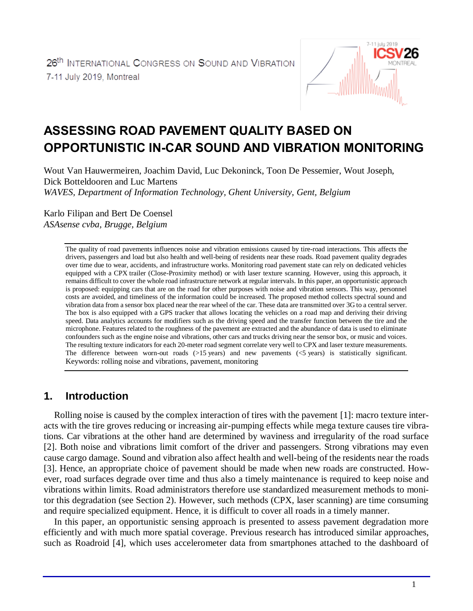

# **ASSESSING ROAD PAVEMENT QUALITY BASED ON OPPORTUNISTIC IN-CAR SOUND AND VIBRATION MONITORING**

Wout Van Hauwermeiren, Joachim David, Luc Dekoninck, Toon De Pessemier, Wout Joseph, Dick Botteldooren and Luc Martens *WAVES, Department of Information Technology, Ghent University, Gent, Belgium*

Karlo Filipan and Bert De Coensel *ASAsense cvba, Brugge, Belgium*

> The quality of road pavements influences noise and vibration emissions caused by tire-road interactions. This affects the drivers, passengers and load but also health and well-being of residents near these roads. Road pavement quality degrades over time due to wear, accidents, and infrastructure works. Monitoring road pavement state can rely on dedicated vehicles equipped with a CPX trailer (Close-Proximity method) or with laser texture scanning. However, using this approach, it remains difficult to cover the whole road infrastructure network at regular intervals. In this paper, an opportunistic approach is proposed: equipping cars that are on the road for other purposes with noise and vibration sensors. This way, personnel costs are avoided, and timeliness of the information could be increased. The proposed method collects spectral sound and vibration data from a sensor box placed near the rear wheel of the car. These data are transmitted over 3G to a central server. The box is also equipped with a GPS tracker that allows locating the vehicles on a road map and deriving their driving speed. Data analytics accounts for modifiers such as the driving speed and the transfer function between the tire and the microphone. Features related to the roughness of the pavement are extracted and the abundance of data is used to eliminate confounders such as the engine noise and vibrations, other cars and trucks driving near the sensor box, or music and voices. The resulting texture indicators for each 20-meter road segment correlate very well to CPX and laser texture measurements. The difference between worn-out roads (>15 years) and new pavements (<5 years) is statistically significant. Keywords: rolling noise and vibrations, pavement, monitoring

### **1. Introduction**

Rolling noise is caused by the complex interaction of tires with the pavement [1]: macro texture interacts with the tire groves reducing or increasing air-pumping effects while mega texture causes tire vibrations. Car vibrations at the other hand are determined by waviness and irregularity of the road surface [2]. Both noise and vibrations limit comfort of the driver and passengers. Strong vibrations may even cause cargo damage. Sound and vibration also affect health and well-being of the residents near the roads [3]. Hence, an appropriate choice of pavement should be made when new roads are constructed. However, road surfaces degrade over time and thus also a timely maintenance is required to keep noise and vibrations within limits. Road administrators therefore use standardized measurement methods to monitor this degradation (see Section 2). However, such methods (CPX, laser scanning) are time consuming and require specialized equipment. Hence, it is difficult to cover all roads in a timely manner.

In this paper, an opportunistic sensing approach is presented to assess pavement degradation more efficiently and with much more spatial coverage. Previous research has introduced similar approaches, such as Roadroid [4], which uses accelerometer data from smartphones attached to the dashboard of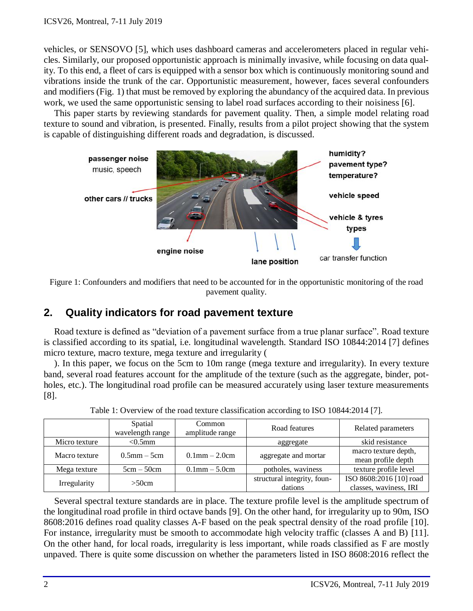vehicles, or SENSOVO [5], which uses dashboard cameras and accelerometers placed in regular vehicles. Similarly, our proposed opportunistic approach is minimally invasive, while focusing on data quality. To this end, a fleet of cars is equipped with a sensor box which is continuously monitoring sound and vibrations inside the trunk of the car. Opportunistic measurement, however, faces several confounders and modifiers (Fig. 1) that must be removed by exploring the abundancy of the acquired data. In previous work, we used the same opportunistic sensing to label road surfaces according to their noisiness [6].

This paper starts by reviewing standards for pavement quality. Then, a simple model relating road texture to sound and vibration, is presented. Finally, results from a pilot project showing that the system is capable of distinguishing different roads and degradation, is discussed.





## **2. Quality indicators for road pavement texture**

Road texture is defined as "deviation of a pavement surface from a true planar surface". Road texture is classified according to its spatial, i.e. longitudinal wavelength. Standard ISO 10844:2014 [7] defines micro texture, macro texture, mega texture and irregularity [\(](#page-1-0)

). In this paper, we focus on the 5cm to 10m range (mega texture and irregularity). In every texture band, several road features account for the amplitude of the texture (such as the aggregate, binder, potholes, etc.). The longitudinal road profile can be measured accurately using laser texture measurements [8].

|               | Spatial<br>wavelength range | Common<br>amplitude range | Road features                          | Related parameters                                |
|---------------|-----------------------------|---------------------------|----------------------------------------|---------------------------------------------------|
| Micro texture | $< 0.5$ mm                  |                           | aggregate                              | skid resistance                                   |
| Macro texture | $0.5$ mm $-5$ cm            | $0.1$ mm $- 2.0$ cm       | aggregate and mortar                   | macro texture depth,<br>mean profile depth        |
| Mega texture  | $5cm - 50cm$                | $0.1$ mm $- 5.0$ cm       | potholes, waviness                     | texture profile level                             |
| Irregularity  | >50cm                       |                           | structural integrity, foun-<br>dations | ISO 8608:2016 [10] road<br>classes, waviness, IRI |

Table 1: Overview of the road texture classification according to ISO 10844:2014 [7].

<span id="page-1-0"></span>Several spectral texture standards are in place. The texture profile level is the amplitude spectrum of the longitudinal road profile in third octave bands [9]. On the other hand, for irregularity up to 90m, ISO 8608:2016 defines road quality classes A-F based on the peak spectral density of the road profile [10]. For instance, irregularity must be smooth to accommodate high velocity traffic (classes A and B) [11]. On the other hand, for local roads, irregularity is less important, while roads classified as F are mostly unpaved. There is quite some discussion on whether the parameters listed in ISO 8608:2016 reflect the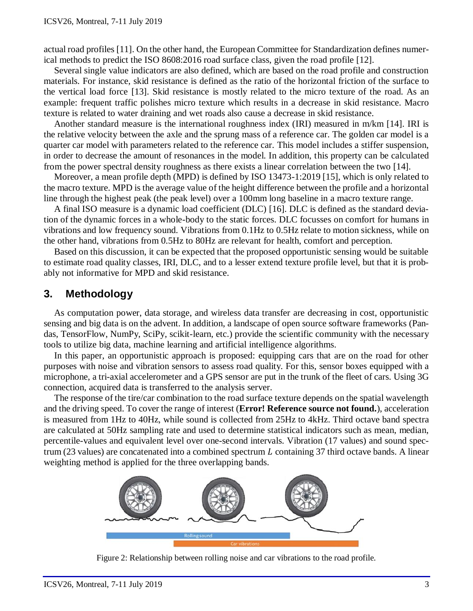actual road profiles [11]. On the other hand, the European Committee for Standardization defines numerical methods to predict the ISO 8608:2016 road surface class, given the road profile [12].

Several single value indicators are also defined, which are based on the road profile and construction materials. For instance, skid resistance is defined as the ratio of the horizontal friction of the surface to the vertical load force [13]. Skid resistance is mostly related to the micro texture of the road. As an example: frequent traffic polishes micro texture which results in a decrease in skid resistance. Macro texture is related to water draining and wet roads also cause a decrease in skid resistance.

Another standard measure is the international roughness index (IRI) measured in m/km [14]. IRI is the relative velocity between the axle and the sprung mass of a reference car. The golden car model is a quarter car model with parameters related to the reference car. This model includes a stiffer suspension, in order to decrease the amount of resonances in the model. In addition, this property can be calculated from the power spectral density roughness as there exists a linear correlation between the two [14].

Moreover, a mean profile depth (MPD) is defined by ISO 13473-1:2019 [15], which is only related to the macro texture. MPD is the average value of the height difference between the profile and a horizontal line through the highest peak (the peak level) over a 100mm long baseline in a macro texture range.

A final ISO measure is a dynamic load coefficient (DLC) [16]. DLC is defined as the standard deviation of the dynamic forces in a whole-body to the static forces. DLC focusses on comfort for humans in vibrations and low frequency sound. Vibrations from 0.1Hz to 0.5Hz relate to motion sickness, while on the other hand, vibrations from 0.5Hz to 80Hz are relevant for health, comfort and perception.

Based on this discussion, it can be expected that the proposed opportunistic sensing would be suitable to estimate road quality classes, IRI, DLC, and to a lesser extend texture profile level, but that it is probably not informative for MPD and skid resistance.

### **3. Methodology**

As computation power, data storage, and wireless data transfer are decreasing in cost, opportunistic sensing and big data is on the advent. In addition, a landscape of open source software frameworks (Pandas, TensorFlow, NumPy, SciPy, scikit-learn, etc.) provide the scientific community with the necessary tools to utilize big data, machine learning and artificial intelligence algorithms.

In this paper, an opportunistic approach is proposed: equipping cars that are on the road for other purposes with noise and vibration sensors to assess road quality. For this, sensor boxes equipped with a microphone, a tri-axial accelerometer and a GPS sensor are put in the trunk of the fleet of cars. Using 3G connection, acquired data is transferred to the analysis server.

The response of the tire/car combination to the road surface texture depends on the spatial wavelength and the driving speed. To cover the range of interest (**Error! Reference source not found.**), acceleration is measured from 1Hz to 40Hz, while sound is collected from 25Hz to 4kHz. Third octave band spectra are calculated at 50Hz sampling rate and used to determine statistical indicators such as mean, median, percentile-values and equivalent level over one-second intervals. Vibration (17 values) and sound spectrum (23 values) are concatenated into a combined spectrum  $L$  containing 37 third octave bands. A linear weighting method is applied for the three overlapping bands.



Figure 2: Relationship between rolling noise and car vibrations to the road profile.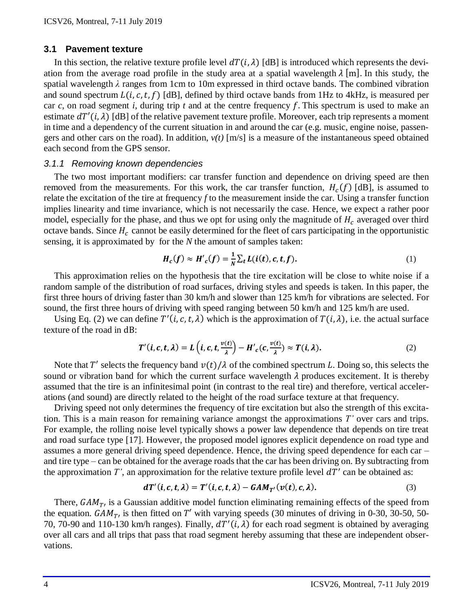#### **3.1 Pavement texture**

In this section, the relative texture profile level  $dT(i, \lambda)$  [dB] is introduced which represents the deviation from the average road profile in the study area at a spatial wavelength  $\lambda$  [m]. In this study, the spatial wavelength *λ* ranges from 1cm to 10m expressed in third octave bands. The combined vibration and sound spectrum  $L(i, c, t, f)$  [dB], defined by third octave bands from 1Hz to 4kHz, is measured per car  $c$ , on road segment *i*, during trip  $t$  and at the centre frequency  $f$ . This spectrum is used to make an estimate  $dT'(i, \lambda)$  [dB] of the relative pavement texture profile. Moreover, each trip represents a moment in time and a dependency of the current situation in and around the car (e.g. music, engine noise, passengers and other cars on the road). In addition,  $v(t)$  [m/s] is a measure of the instantaneous speed obtained each second from the GPS sensor*.*

#### *3.1.1 Removing known dependencies*

The two most important modifiers: car transfer function and dependence on driving speed are then removed from the measurements. For this work, the car transfer function,  $H_c(f)$  [dB], is assumed to relate the excitation of the tire at frequency *f* to the measurement inside the car. Using a transfer function implies linearity and time invariance, which is not necessarily the case. Hence, we expect a rather poor model, especially for the phase, and thus we opt for using only the magnitude of  $H_c$  averaged over third octave bands. Since  $H_c$  cannot be easily determined for the fleet of cars participating in the opportunistic sensing, it is approximated by for the *N* the amount of samples taken:

$$
H_c(f) \approx H'_c(f) = \frac{1}{N} \sum_t L(i(t), c, t, f).
$$
 (1)

This approximation relies on the hypothesis that the tire excitation will be close to white noise if a random sample of the distribution of road surfaces, driving styles and speeds is taken. In this paper, the first three hours of driving faster than 30 km/h and slower than 125 km/h for vibrations are selected. For sound, the first three hours of driving with speed ranging between 50 km/h and 125 km/h are used.

Using Eq. (2) we can define  $T'(i, c, t, \lambda)$  which is the approximation of  $T(i, \lambda)$ , i.e. the actual surface texture of the road in dB:

$$
T'(i, c, t, \lambda) = L\left(i, c, t, \frac{\nu(t)}{\lambda}\right) - H'_{c}(c, \frac{\nu(t)}{\lambda}) \approx T(i, \lambda).
$$
 (2)

Note that T' selects the frequency band  $v(t)/\lambda$  of the combined spectrum L. Doing so, this selects the sound or vibration band for which the current surface wavelength  $\lambda$  produces excitement. It is thereby assumed that the tire is an infinitesimal point (in contrast to the real tire) and therefore, vertical accelerations (and sound) are directly related to the height of the road surface texture at that frequency.

Driving speed not only determines the frequency of tire excitation but also the strength of this excitation. This is a main reason for remaining variance amongst the approximations *T'* over cars and trips. For example, the rolling noise level typically shows a power law dependence that depends on tire treat and road surface type [17]. However, the proposed model ignores explicit dependence on road type and assumes a more general driving speed dependence. Hence, the driving speed dependence for each car – and tire type – can be obtained for the average roads that the car has been driving on. By subtracting from the approximation  $T'$ , an approximation for the relative texture profile level  $dT'$  can be obtained as:

$$
dT'(i, c, t, \lambda) = T'(i, c, t, \lambda) - GAM_{T'}(\nu(t), c, \lambda).
$$
 (3)

There,  $GAM_T$ , is a Gaussian additive model function eliminating remaining effects of the speed from the equation.  $GAM_T$ , is then fitted on T' with varying speeds (30 minutes of driving in 0-30, 30-50, 50-70, 70-90 and 110-130 km/h ranges). Finally,  $dT'(i, \lambda)$  for each road segment is obtained by averaging over all cars and all trips that pass that road segment hereby assuming that these are independent observations.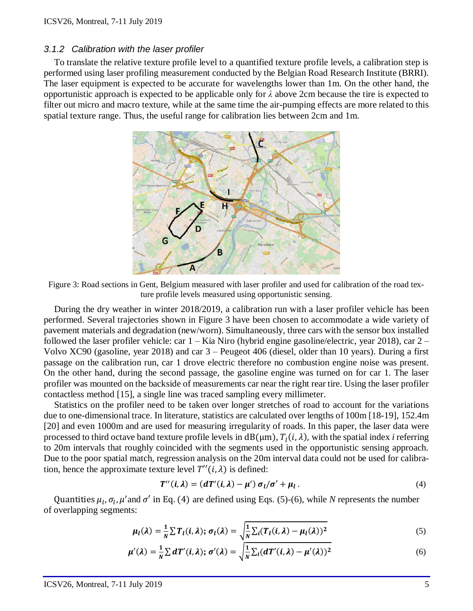#### *3.1.2 Calibration with the laser profiler*

To translate the relative texture profile level to a quantified texture profile levels, a calibration step is performed using laser profiling measurement conducted by the Belgian Road Research Institute (BRRI). The laser equipment is expected to be accurate for wavelengths lower than 1m. On the other hand, the opportunistic approach is expected to be applicable only for *λ* above 2cm because the tire is expected to filter out micro and macro texture, while at the same time the air-pumping effects are more related to this spatial texture range. Thus, the useful range for calibration lies between 2cm and 1m.



<span id="page-4-0"></span>Figure 3: Road sections in Gent, Belgium measured with laser profiler and used for calibration of the road texture profile levels measured using opportunistic sensing.

During the dry weather in winter 2018/2019, a calibration run with a laser profiler vehicle has been performed. Several trajectories shown in [Figure 3](#page-4-0) have been chosen to accommodate a wide variety of pavement materials and degradation (new/worn). Simultaneously, three cars with the sensor box installed followed the laser profiler vehicle: car 1 – Kia Niro (hybrid engine gasoline/electric, year 2018), car 2 – Volvo XC90 (gasoline, year 2018) and car 3 – Peugeot 406 (diesel, older than 10 years). During a first passage on the calibration run, car 1 drove electric therefore no combustion engine noise was present. On the other hand, during the second passage, the gasoline engine was turned on for car 1. The laser profiler was mounted on the backside of measurements car near the right rear tire. Using the laser profiler contactless method [15], a single line was traced sampling every millimeter.

Statistics on the profiler need to be taken over longer stretches of road to account for the variations due to one-dimensional trace. In literature, statistics are calculated over lengths of 100m [18-19], 152.4m [20] and even 1000m and are used for measuring irregularity of roads. In this paper, the laser data were processed to third octave band texture profile levels in  $dB(\mu m)$ ,  $T_l(i, \lambda)$ , with the spatial index *i* referring to 20m intervals that roughly coincided with the segments used in the opportunistic sensing approach. Due to the poor spatial match, regression analysis on the 20m interval data could not be used for calibration, hence the approximate texture level  $T''(i, \lambda)$  is defined:

$$
T''(i,\lambda) = (dT'(i,\lambda) - \mu') \sigma_l/\sigma' + \mu_l.
$$
\n(4)

Quantities  $\mu_l$ ,  $\sigma_l$ ,  $\mu'$  and  $\sigma'$  in Eq. (4) are defined using Eqs. (5)-(6), while *N* represents the number of overlapping segments:

$$
\mu_l(\lambda) = \frac{1}{N} \sum T_l(i, \lambda); \sigma_l(\lambda) = \sqrt{\frac{1}{N} \sum_i (T_l(i, \lambda) - \mu_l(\lambda))^2}
$$
(5)

$$
\mu'(\lambda) = \frac{1}{N} \sum dT'(i, \lambda); \sigma'(\lambda) = \sqrt{\frac{1}{N} \sum_i (dT'(i, \lambda) - \mu'(\lambda))^2}
$$
(6)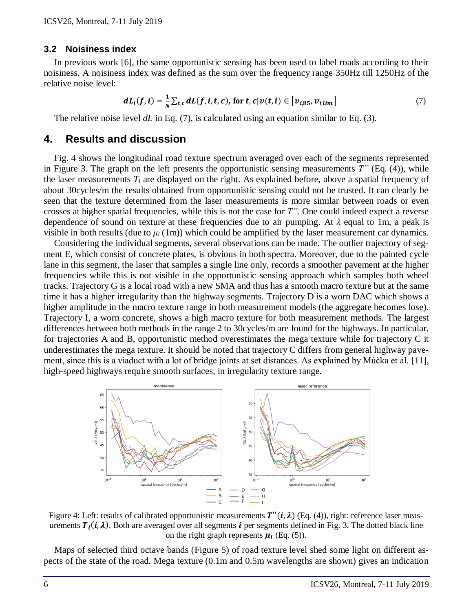#### **3.2 Noisiness index**

In previous work [6], the same opportunistic sensing has been used to label roads according to their noisiness. A noisiness index was defined as the sum over the frequency range 350Hz till 1250Hz of the relative noise level:

$$
dL_i(f, i) = \frac{1}{N} \sum_{t,c} dL(f, i, t, c), \text{ for } t, c | \nu(t, i) \in [v_{i,85}, v_{i,lim}]
$$
\n
$$
\tag{7}
$$

The relative noise level *dL* in Eq. (7), is calculated using an equation similar to Eq. (3)*.*

#### **4. Results and discussion**

Fig. 4 shows the longitudinal road texture spectrum averaged over each of the segments represented in [Figure 3.](#page-4-0) The graph on the left presents the opportunistic sensing measurements *T"* (Eq. (4)), while the laser measurements  $T_l$  are displayed on the right. As explained before, above a spatial frequency of about 30cycles/m the results obtained from opportunistic sensing could not be trusted. It can clearly be seen that the texture determined from the laser measurements is more similar between roads or even crosses at higher spatial frequencies, while this is not the case for *T"*. One could indeed expect a reverse dependence of sound on texture at these frequencies due to air pumping. At *λ* equal to 1m, a peak is visible in both results (due to  $\mu_l(1m)$ ) which could be amplified by the laser measurement car dynamics.

Considering the individual segments, several observations can be made. The outlier trajectory of segment E, which consist of concrete plates, is obvious in both spectra. Moreover, due to the painted cycle lane in this segment, the laser that samples a single line only, records a smoother pavement at the higher frequencies while this is not visible in the opportunistic sensing approach which samples both wheel tracks. Trajectory G is a local road with a new SMA and thus has a smooth macro texture but at the same time it has a higher irregularity than the highway segments. Trajectory D is a worn DAC which shows a higher amplitude in the macro texture range in both measurement models (the aggregate becomes lose). Trajectory I, a worn concrete, shows a high macro texture for both measurement methods. The largest differences between both methods in the range 2 to 30cycles/m are found for the highways. In particular, for trajectories A and B, opportunistic method overestimates the mega texture while for trajectory C it underestimates the mega texture. It should be noted that trajectory C differs from general highway pavement, since this is a viaduct with a lot of bridge joints at set distances. As explained by Múčka et al. [11], high-speed highways require smooth surfaces, in irregularity texture range.



Figure 4: Left: results of calibrated opportunistic measurements  $T''(i, \lambda)$  (Eq. (4)), right: reference laser measurements  $T_l(i, \lambda)$ . Both are averaged over all segments  $i$  per segments defined in Fig. 3. The dotted black line on the right graph represents  $\mu_l$  (Eq. (5)).

Maps of selected third octave bands [\(Figure 5\)](#page-6-0) of road texture level shed some light on different aspects of the state of the road. Mega texture (0.1m and 0.5m wavelengths are shown) gives an indication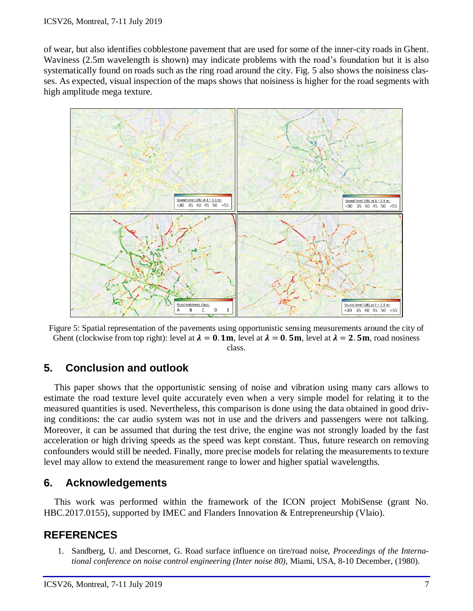of wear, but also identifies cobblestone pavement that are used for some of the inner-city roads in Ghent. Waviness (2.5m wavelength is shown) may indicate problems with the road's foundation but it is also systematically found on roads such as the ring road around the city. Fig. 5 also shows the noisiness classes. As expected, visual inspection of the maps shows that noisiness is higher for the road segments with high amplitude mega texture.



<span id="page-6-0"></span>Figure 5: Spatial representation of the pavements using opportunistic sensing measurements around the city of Ghent (clockwise from top right): level at  $\lambda = 0.1$ m, level at  $\lambda = 0.5$ m, level at  $\lambda = 2.5$ m, road nosiness class.

## **5. Conclusion and outlook**

This paper shows that the opportunistic sensing of noise and vibration using many cars allows to estimate the road texture level quite accurately even when a very simple model for relating it to the measured quantities is used. Nevertheless, this comparison is done using the data obtained in good driving conditions: the car audio system was not in use and the drivers and passengers were not talking. Moreover, it can be assumed that during the test drive, the engine was not strongly loaded by the fast acceleration or high driving speeds as the speed was kept constant. Thus, future research on removing confounders would still be needed. Finally, more precise models for relating the measurements to texture level may allow to extend the measurement range to lower and higher spatial wavelengths.

## **6. Acknowledgements**

This work was performed within the framework of the ICON project MobiSense (grant No. HBC.2017.0155), supported by IMEC and Flanders Innovation & Entrepreneurship (Vlaio).

## **REFERENCES**

1. Sandberg, U. and Descornet, G. Road surface influence on tire/road noise, *Proceedings of the International conference on noise control engineering (Inter noise 80),* Miami, USA, 8-10 December, (1980).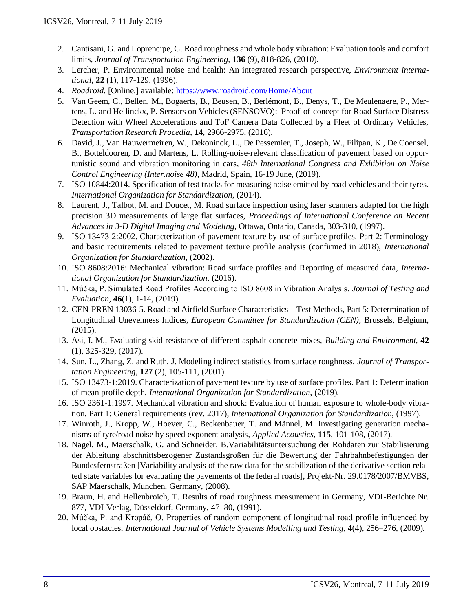- 2. Cantisani, G. and Loprencipe, G. Road roughness and whole body vibration: Evaluation tools and comfort limits, *Journal of Transportation Engineering*, **136** (9), 818-826, (2010).
- 3. Lercher, P. Environmental noise and health: An integrated research perspective, *Environment international*, **22** (1), 117-129, (1996).
- 4. *Roadroid.* [Online.] available:<https://www.roadroid.com/Home/About>
- 5. Van Geem, C., Bellen, M., Bogaerts, B., Beusen, B., Berlémont, B., Denys, T., De Meulenaere, P., Mertens, L. and Hellinckx, P. Sensors on Vehicles (SENSOVO): Proof-of-concept for Road Surface Distress Detection with Wheel Accelerations and ToF Camera Data Collected by a Fleet of Ordinary Vehicles, *Transportation Research Procedia*, **14**, 2966-2975, (2016).
- 6. David, J., Van Hauwermeiren, W., Dekoninck, L., De Pessemier, T., Joseph, W., Filipan, K., De Coensel, B., Botteldooren, D. and Martens, L. Rolling-noise-relevant classification of pavement based on opportunistic sound and vibration monitoring in cars*, 48th International Congress and Exhibition on Noise Control Engineering (Inter.noise 48),* Madrid, Spain, 16-19 June, (2019).
- 7. ISO 10844:2014. Specification of test tracks for measuring noise emitted by road vehicles and their tyres. *International Organization for Standardization*, (2014).
- 8. Laurent, J., Talbot, M. and Doucet, M. Road surface inspection using laser scanners adapted for the high precision 3D measurements of large flat surfaces, *Proceedings of International Conference on Recent Advances in 3-D Digital Imaging and Modeling*, Ottawa, Ontario, Canada, 303-310, (1997).
- 9. ISO 13473-2:2002. Characterization of pavement texture by use of surface profiles. Part 2: Terminology and basic requirements related to pavement texture profile analysis (confirmed in 2018), *International Organization for Standardization*, (2002).
- 10. ISO 8608:2016: Mechanical vibration: Road surface profiles and Reporting of measured data, *International Organization for Standardization*, (2016).
- 11. Múčka, P. Simulated Road Profiles According to ISO 8608 in Vibration Analysis, *Journal of Testing and Evaluation,* **46**(1), 1-14, (2019).
- 12. CEN-PREN 13036-5. Road and Airfield Surface Characteristics Test Methods, Part 5: Determination of Longitudinal Unevenness Indices, *European Committee for Standardization (CEN),* Brussels, Belgium, (2015).
- 13. Asi, I. M., Evaluating skid resistance of different asphalt concrete mixes, *Building and Environment,* **42**  (1), 325-329, (2017).
- 14. Sun, L., Zhang, Z. and Ruth, J. Modeling indirect statistics from surface roughness, *Journal of Transportation Engineering*, **127** (2), 105-111, (2001).
- 15. ISO 13473-1:2019. Characterization of pavement texture by use of surface profiles. Part 1: Determination of mean profile depth, *International Organization for Standardization*, (2019).
- 16. ISO 2361-1:1997. Mechanical vibration and shock: Evaluation of human exposure to whole-body vibration. Part 1: General requirements (rev. 2017), *International Organization for Standardization,* (1997).
- 17. Winroth, J., Kropp, W., Hoever, C., Beckenbauer, T. and Männel, M. Investigating generation mechanisms of tyre/road noise by speed exponent analysis, *Applied Acoustics*, **115**, 101-108, (2017).
- 18. Nagel, M., Maerschalk, G. and Schneider, B.Variabilitätsuntersuchung der Rohdaten zur Stabilisierung der Ableitung abschnittsbezogener Zustandsgrößen für die Bewertung der Fahrbahnbefestigungen der Bundesfernstraßen [Variability analysis of the raw data for the stabilization of the derivative section related state variables for evaluating the pavements of the federal roads], Projekt-Nr. 29.0178/2007/BMVBS, SAP Maerschalk, Munchen, Germany, (2008).
- 19. Braun, H. and Hellenbroich, T. Results of road roughness measurement in Germany, VDI-Berichte Nr. 877, VDI-Verlag, Düsseldorf, Germany, 47–80, (1991).
- 20. Múčka, P. and Kropáč, O. Properties of random component of longitudinal road profile influenced by local obstacles, *International Journal of Vehicle Systems Modelling and Testing*, **4**(4), 256–276, (2009).